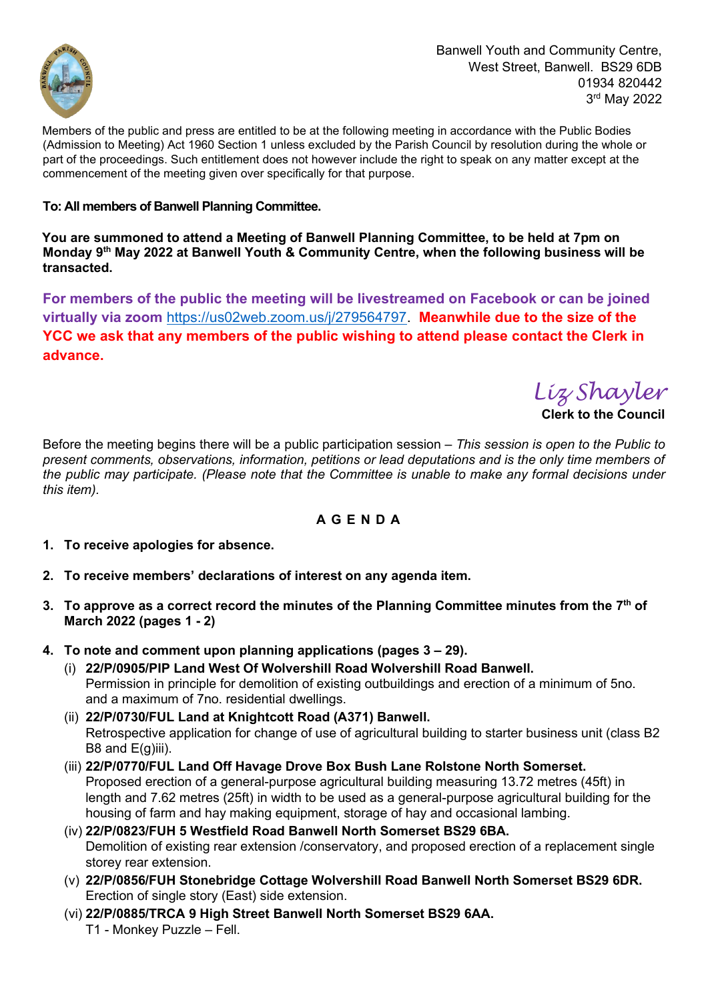

Banwell Youth and Community Centre, West Street, Banwell. BS29 6DB 01934 820442 3 rd May 2022

Members of the public and press are entitled to be at the following meeting in accordance with the Public Bodies (Admission to Meeting) Act 1960 Section 1 unless excluded by the Parish Council by resolution during the whole or part of the proceedings. Such entitlement does not however include the right to speak on any matter except at the commencement of the meeting given over specifically for that purpose.

### **To: All members of Banwell Planning Committee.**

**You are summoned to attend a Meeting of Banwell Planning Committee, to be held at 7pm on Monday 9 th May 2022 at Banwell Youth & Community Centre, when the following business will be transacted.**

**For members of the public the meeting will be livestreamed on Facebook or can be joined virtually via zoom** [https://us02web.zoom.us/j/279564797.](https://us02web.zoom.us/j/279564797) **Meanwhile due to the size of the YCC we ask that any members of the public wishing to attend please contact the Clerk in advance.**

*Liz Shayler*

**Clerk to the Council** 

Before the meeting begins there will be a public participation session *– This session is open to the Public to present comments, observations, information, petitions or lead deputations and is the only time members of the public may participate. (Please note that the Committee is unable to make any formal decisions under this item).* 

# **A G E N D A**

- **1. To receive apologies for absence.**
- **2. To receive members' declarations of interest on any agenda item.**
- **3. To approve as a correct record the minutes of the Planning Committee minutes from the 7 th of March 2022 (pages 1 - 2)**
- **4. To note and comment upon planning applications (pages 3 – 29).**
	- (i) **22/P/0905/PIP Land West Of Wolvershill Road Wolvershill Road Banwell.** Permission in principle for demolition of existing outbuildings and erection of a minimum of 5no. and a maximum of 7no. residential dwellings.
	- (ii) **22/P/0730/FUL Land at Knightcott Road (A371) Banwell.** Retrospective application for change of use of agricultural building to starter business unit (class B2 B8 and  $E(g)$ iii).
	- (iii) **22/P/0770/FUL Land Off Havage Drove Box Bush Lane Rolstone North Somerset.** Proposed erection of a general-purpose agricultural building measuring 13.72 metres (45ft) in length and 7.62 metres (25ft) in width to be used as a general-purpose agricultural building for the housing of farm and hay making equipment, storage of hay and occasional lambing.
	- (iv) **22/P/0823/FUH 5 Westfield Road Banwell North Somerset BS29 6BA.** Demolition of existing rear extension /conservatory, and proposed erection of a replacement single storey rear extension.
	- (v) **22/P/0856/FUH Stonebridge Cottage Wolvershill Road Banwell North Somerset BS29 6DR.** Erection of single story (East) side extension.
	- (vi) **22/P/0885/TRCA 9 High Street Banwell North Somerset BS29 6AA.** T1 - Monkey Puzzle – Fell.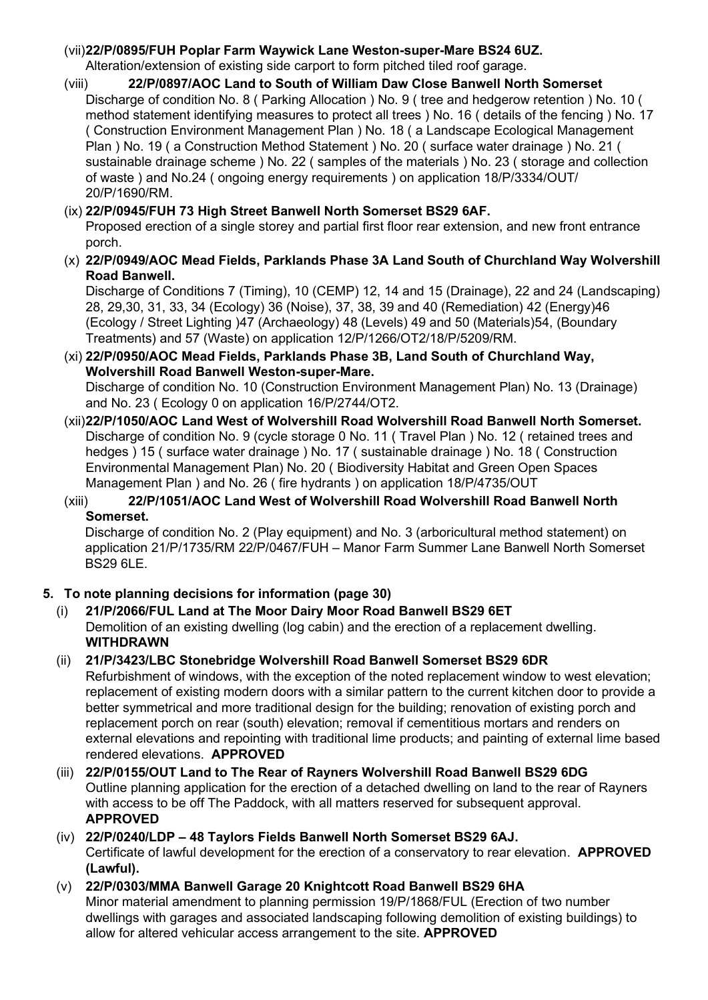# (vii)**22/P/0895/FUH Poplar Farm Waywick Lane Weston-super-Mare BS24 6UZ.**

Alteration/extension of existing side carport to form pitched tiled roof garage.

(viii) **22/P/0897/AOC Land to South of William Daw Close Banwell North Somerset** Discharge of condition No. 8 ( Parking Allocation ) No. 9 ( tree and hedgerow retention ) No. 10 ( method statement identifying measures to protect all trees ) No. 16 ( details of the fencing ) No. 17 ( Construction Environment Management Plan ) No. 18 ( a Landscape Ecological Management Plan ) No. 19 ( a Construction Method Statement ) No. 20 ( surface water drainage ) No. 21 ( sustainable drainage scheme ) No. 22 ( samples of the materials ) No. 23 ( storage and collection of waste ) and No.24 ( ongoing energy requirements ) on application 18/P/3334/OUT/ 20/P/1690/RM.

# (ix) **22/P/0945/FUH 73 High Street Banwell North Somerset BS29 6AF.**

Proposed erection of a single storey and partial first floor rear extension, and new front entrance porch.

(x) **22/P/0949/AOC Mead Fields, Parklands Phase 3A Land South of Churchland Way Wolvershill Road Banwell.**

Discharge of Conditions 7 (Timing), 10 (CEMP) 12, 14 and 15 (Drainage), 22 and 24 (Landscaping) 28, 29,30, 31, 33, 34 (Ecology) 36 (Noise), 37, 38, 39 and 40 (Remediation) 42 (Energy)46 (Ecology / Street Lighting )47 (Archaeology) 48 (Levels) 49 and 50 (Materials)54, (Boundary Treatments) and 57 (Waste) on application 12/P/1266/OT2/18/P/5209/RM.

- (xi) **22/P/0950/AOC Mead Fields, Parklands Phase 3B, Land South of Churchland Way, Wolvershill Road Banwell Weston-super-Mare.** Discharge of condition No. 10 (Construction Environment Management Plan) No. 13 (Drainage) and No. 23 ( Ecology 0 on application 16/P/2744/OT2.
- (xii)**22/P/1050/AOC Land West of Wolvershill Road Wolvershill Road Banwell North Somerset.** Discharge of condition No. 9 (cycle storage 0 No. 11 ( Travel Plan ) No. 12 ( retained trees and hedges ) 15 ( surface water drainage ) No. 17 ( sustainable drainage ) No. 18 ( Construction Environmental Management Plan) No. 20 ( Biodiversity Habitat and Green Open Spaces Management Plan ) and No. 26 ( fire hydrants ) on application 18/P/4735/OUT

### (xiii) **22/P/1051/AOC Land West of Wolvershill Road Wolvershill Road Banwell North Somerset.**

Discharge of condition No. 2 (Play equipment) and No. 3 (arboricultural method statement) on application 21/P/1735/RM 22/P/0467/FUH – Manor Farm Summer Lane Banwell North Somerset BS29 6LE.

# **5. To note planning decisions for information (page 30)**

(i) **21/P/2066/FUL Land at The Moor Dairy Moor Road Banwell BS29 6ET** Demolition of an existing dwelling (log cabin) and the erection of a replacement dwelling. **WITHDRAWN**

# (ii) **21/P/3423/LBC Stonebridge Wolvershill Road Banwell Somerset BS29 6DR**

Refurbishment of windows, with the exception of the noted replacement window to west elevation; replacement of existing modern doors with a similar pattern to the current kitchen door to provide a better symmetrical and more traditional design for the building; renovation of existing porch and replacement porch on rear (south) elevation; removal if cementitious mortars and renders on external elevations and repointing with traditional lime products; and painting of external lime based rendered elevations. **APPROVED**

- (iii) **22/P/0155/OUT Land to The Rear of Rayners Wolvershill Road Banwell BS29 6DG**  Outline planning application for the erection of a detached dwelling on land to the rear of Rayners with access to be off The Paddock, with all matters reserved for subsequent approval. **APPROVED**
- (iv) **22/P/0240/LDP – 48 Taylors Fields Banwell North Somerset BS29 6AJ.**  Certificate of lawful development for the erection of a conservatory to rear elevation. **APPROVED (Lawful).**
- (v) **22/P/0303/MMA Banwell Garage 20 Knightcott Road Banwell BS29 6HA** Minor material amendment to planning permission 19/P/1868/FUL (Erection of two number dwellings with garages and associated landscaping following demolition of existing buildings) to allow for altered vehicular access arrangement to the site. **APPROVED**